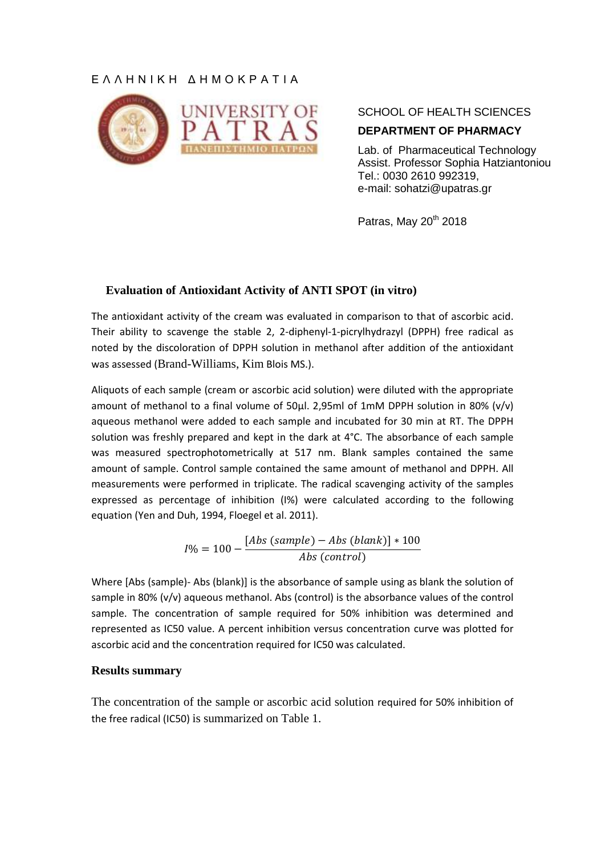# Ε Λ Λ Η Ν Ι Κ Η Δ Η Μ Ο Κ Ρ Α Τ Ι Α



SCHOOL OF HEALTH SCIENCES **DEPARTMENT OF PHARMACY**

Lab. of Pharmaceutical Technology Assist. Professor Sophia Hatziantoniou Tel.: 0030 2610 992319, e-mail: sohatzi@upatras.gr

Patras, May  $20^{th}$  2018

## **Evaluation of Antioxidant Activity of ANTI SPOT (in vitro)**

The antioxidant activity of the cream was evaluated in comparison to that of ascorbic acid. Their ability to scavenge the stable 2, 2-diphenyl-1-picrylhydrazyl (DPPH) free radical as noted by the discoloration of DPPH solution in methanol after addition of the antioxidant was assessed (Brand-Williams, Kim Blois MS.).

Aliquots of each sample (cream or ascorbic acid solution) were diluted with the appropriate amount of methanol to a final volume of 50μl. 2,95ml of 1mM DPPH solution in 80% (v/v) aqueous methanol were added to each sample and incubated for 30 min at RT. The DPPH solution was freshly prepared and kept in the dark at 4°C. The absorbance of each sample was measured spectrophotometrically at 517 nm. Blank samples contained the same amount of sample. Control sample contained the same amount of methanol and DPPH. All measurements were performed in triplicate. The radical scavenging activity of the samples expressed as percentage of inhibition (I%) were calculated according to the following equation (Yen and Duh, 1994, Floegel et al. 2011).

$$
I\% = 100 - \frac{[Abs\ (sample) - Abs\ (blank)] * 100}{Abs\ (control)}
$$

Where [Abs (sample)- Abs (blank)] is the absorbance of sample using as blank the solution of sample in 80% (v/v) aqueous methanol. Abs (control) is the absorbance values of the control sample. The concentration of sample required for 50% inhibition was determined and represented as IC50 value. A percent inhibition versus concentration curve was plotted for ascorbic acid and the concentration required for IC50 was calculated.

#### **Results summary**

The concentration of the sample or ascorbic acid solution required for 50% inhibition of the free radical (IC50) is summarized on Table 1.